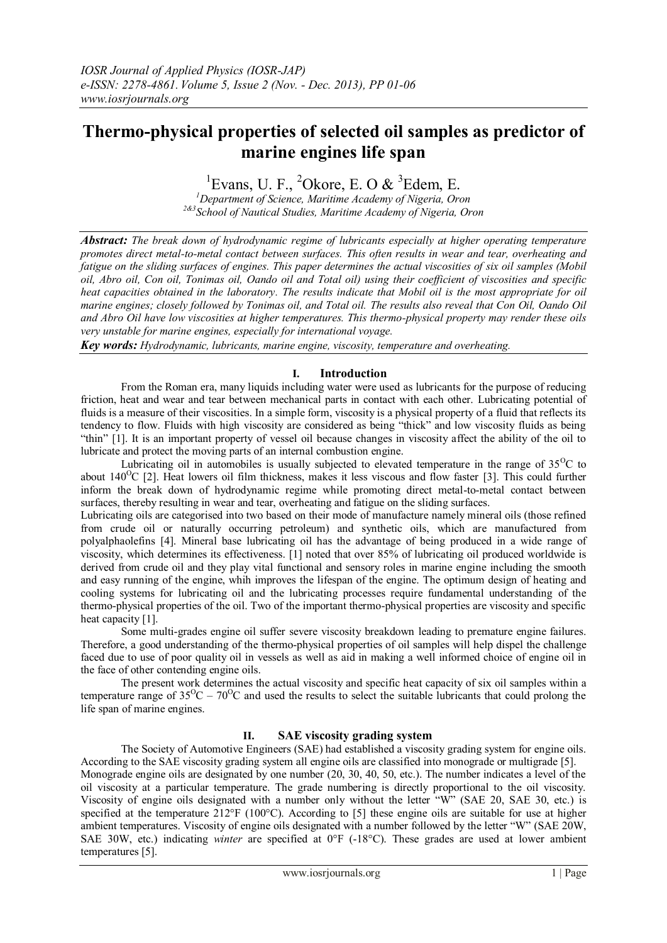# **Thermo-physical properties of selected oil samples as predictor of marine engines life span**

# <sup>1</sup>Evans, U. F., <sup>2</sup>Okore, E. O & <sup>3</sup>Edem, E.

*<sup>1</sup>Department of Science, Maritime Academy of Nigeria, Oron 2&3School of Nautical Studies, Maritime Academy of Nigeria, Oron*

*Abstract: The break down of hydrodynamic regime of lubricants especially at higher operating temperature promotes direct metal-to-metal contact between surfaces. This often results in wear and tear, overheating and fatigue on the sliding surfaces of engines. This paper determines the actual viscosities of six oil samples (Mobil oil, Abro oil, Con oil, Tonimas oil, Oando oil and Total oil) using their coefficient of viscosities and specific heat capacities obtained in the laboratory. The results indicate that Mobil oil is the most appropriate for oil marine engines; closely followed by Tonimas oil, and Total oil. The results also reveal that Con Oil, Oando Oil and Abro Oil have low viscosities at higher temperatures. This thermo-physical property may render these oils very unstable for marine engines, especially for international voyage.*

*Key words: Hydrodynamic, lubricants, marine engine, viscosity, temperature and overheating.*

# **I. Introduction**

From the Roman era, many liquids including water were used as lubricants for the purpose of reducing friction, heat and wear and tear between mechanical parts in contact with each other. Lubricating potential of fluids is a measure of their viscosities. In a simple form, viscosity is a physical property of a fluid that reflects its tendency to flow. Fluids with high viscosity are considered as being "thick" and low viscosity fluids as being "thin" [1]. It is an important property of vessel oil because changes in viscosity affect the ability of the oil to lubricate and protect the moving parts of an internal combustion engine.

Lubricating oil in automobiles is usually subjected to elevated temperature in the range of  $35^{\circ}$ C to about  $140^{\circ}$ C [2]. Heat lowers oil film thickness, makes it less viscous and flow faster [3]. This could further inform the break down of hydrodynamic regime while promoting direct metal-to-metal contact between surfaces, thereby resulting in wear and tear, overheating and fatigue on the sliding surfaces.

Lubricating oils are categorised into two based on their mode of manufacture namely mineral oils (those refined from crude oil or naturally occurring petroleum) and synthetic oils, which are manufactured from polyalphaolefins [4]. Mineral base lubricating oil has the advantage of being produced in a wide range of viscosity, which determines its effectiveness. [1] noted that over 85% of lubricating oil produced worldwide is derived from crude oil and they play vital functional and sensory roles in marine engine including the smooth and easy running of the engine, whih improves the lifespan of the engine. The optimum design of heating and cooling systems for lubricating oil and the lubricating processes require fundamental understanding of the thermo-physical properties of the oil. Two of the important thermo-physical properties are viscosity and specific heat capacity [1].

Some multi-grades engine oil suffer severe viscosity breakdown leading to premature engine failures. Therefore, a good understanding of the thermo-physical properties of oil samples will help dispel the challenge faced due to use of poor quality oil in vessels as well as aid in making a well informed choice of engine oil in the face of other contending engine oils.

The present work determines the actual viscosity and specific heat capacity of six oil samples within a temperature range of  $35^{\circ}\text{C} - 70^{\circ}\text{C}$  and used the results to select the suitable lubricants that could prolong the life span of marine engines.

# **II. SAE viscosity grading system**

The Society of Automotive Engineers (SAE) had established a viscosity grading system for engine oils. According to the SAE viscosity grading system all engine oils are classified into monograde or multigrade [5]. Monograde engine oils are designated by one number (20, 30, 40, 50, etc.). The number indicates a level of the oil viscosity at a particular temperature. The grade numbering is directly proportional to the oil viscosity. Viscosity of engine oils designated with a number only without the letter "W" (SAE 20, SAE 30, etc.) is specified at the temperature 212°F (100°C). According to [5] these engine oils are suitable for use at higher ambient temperatures. Viscosity of engine oils designated with a number followed by the letter "W" (SAE 20W, SAE 30W, etc.) indicating *winter* are specified at 0°F (-18°C). These grades are used at lower ambient temperatures [5].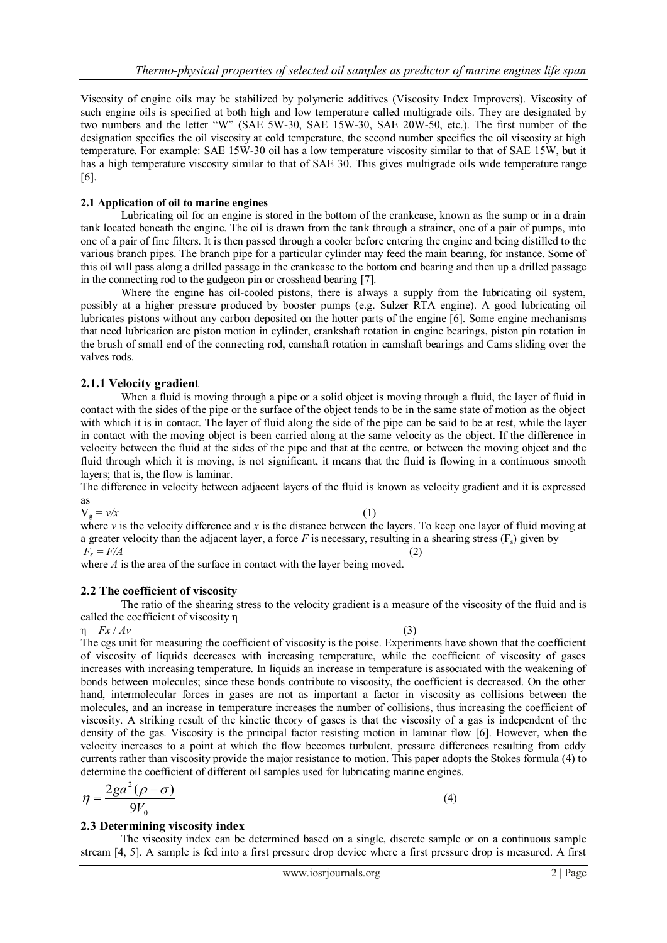Viscosity of engine oils may be stabilized by [polymeric](http://www.substech.com/dokuwiki/doku.php?id=polymers) additives (Viscosity Index Improvers). Viscosity of such engine oils is specified at both high and low temperature called multigrade oils. They are designated by two numbers and the letter "W" (SAE 5W-30, SAE 15W-30, SAE 20W-50, etc.). The first number of the designation specifies the oil viscosity at cold temperature, the second number specifies the oil viscosity at high temperature. For example: SAE 15W-30 oil has a low temperature viscosity similar to that of SAE 15W, but it has a high temperature viscosity similar to that of SAE 30. This gives multigrade oils wide temperature range [6].

## **2.1 Application of oil to marine engines**

Lubricating oil for an engine is stored in the bottom of the crankcase, known as the sump or in a drain tank located beneath the engine. The oil is drawn from the tank through a strainer, one of a pair of pumps, into one of a pair of fine filters. It is then passed through a cooler before entering the engine and being distilled to the various branch pipes. The branch pipe for a particular cylinder may feed the main bearing, for instance. Some of this oil will pass along a drilled passage in the crankcase to the bottom end bearing and then up a drilled passage in the connecting rod to the gudgeon pin or crosshead bearing [7].

Where the engine has oil-cooled pistons, there is always a supply from the lubricating oil system, possibly at a higher pressure produced by booster pumps (e.g. Sulzer RTA engine). A good lubricating oil lubricates pistons without any carbon deposited on the hotter parts of the engine [6]. Some engine mechanisms that need lubrication are piston motion in cylinder, crankshaft rotation in engine bearings, piston pin rotation in the brush of small end of the connecting rod, camshaft rotation in camshaft bearings and Cams sliding over the valves rods.

# **2.1.1 Velocity gradient**

When a fluid is moving through a pipe or a solid object is moving through a fluid, the layer of fluid in contact with the sides of the pipe or the surface of the object tends to be in the same state of motion as the object with which it is in contact. The layer of fluid along the side of the pipe can be said to be at rest, while the layer in contact with the moving object is been carried along at the same velocity as the object. If the difference in velocity between the fluid at the sides of the pipe and that at the centre, or between the moving object and the fluid through which it is moving, is not significant, it means that the fluid is flowing in a continuous smooth layers; that is, the flow is laminar.

The difference in velocity between adjacent layers of the fluid is known as velocity gradient and it is expressed as

 $V_g = v/x$  (1)

where *v* is the velocity difference and *x* is the distance between the layers. To keep one layer of fluid moving at a greater velocity than the adjacent layer, a force *F* is necessary, resulting in a shearing stress  $(F_s)$  given by  $F_s = F/A$  (2)

where *A* is the area of the surface in contact with the layer being moved.

# **2.2 The coefficient of viscosity**

The ratio of the shearing stress to the velocity gradient is a measure of the viscosity of the fluid and is called the coefficient of viscosity η

 $\eta = Fx / Av$  (3)

The cgs unit for measuring the coefficient of viscosity is the poise. Experiments have shown that the coefficient of viscosity of liquids decreases with increasing temperature, while the coefficient of viscosity of gases increases with increasing temperature. In liquids an increase in temperature is associated with the weakening of bonds between molecules; since these bonds contribute to viscosity, the coefficient is decreased. On the other hand, intermolecular forces in gases are not as important a factor in viscosity as collisions between the molecules, and an increase in temperature increases the number of collisions, thus increasing the coefficient of viscosity. A striking result of the kinetic theory of gases is that the viscosity of a gas is independent of the density of the gas. Viscosity is the principal factor resisting motion in laminar flow [6]. However, when the velocity increases to a point at which the flow becomes turbulent, pressure differences resulting from eddy currents rather than viscosity provide the major resistance to motion. This paper adopts the Stokes formula (4) to determine the coefficient of different oil samples used for lubricating marine engines.

$$
\eta = \frac{2ga^2(\rho - \sigma)}{9V_0} \tag{4}
$$

## **2.3 Determining viscosity index**

The viscosity index can be determined based on a single, discrete sample or on a continuous sample stream [4, 5]. A sample is fed into a first pressure drop device where a first pressure drop is measured. A first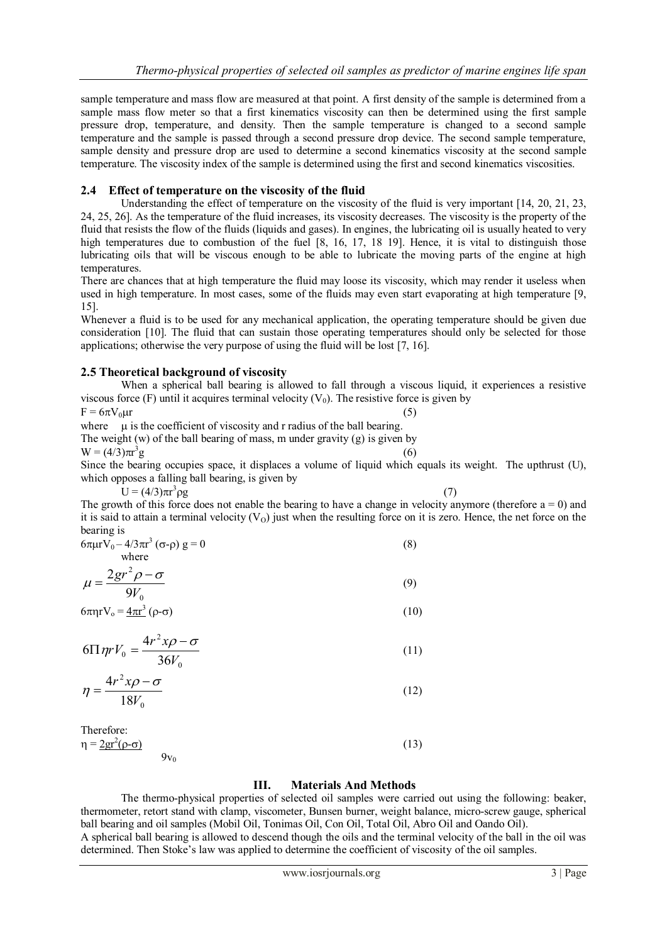sample temperature and mass flow are measured at that point. A first density of the sample is determined from a sample mass flow meter so that a first kinematics viscosity can then be determined using the first sample pressure drop, temperature, and density. Then the sample temperature is changed to a second sample temperature and the sample is passed through a second pressure drop device. The second sample temperature, sample density and pressure drop are used to determine a second kinematics viscosity at the second sample temperature. The viscosity index of the sample is determined using the first and second kinematics viscosities.

# **2.4 Effect of temperature on the viscosity of the fluid**

Understanding the effect of temperature on the viscosity of the fluid is very important [14, 20, 21, 23, 24, 25, 26]. As the temperature of the fluid increases, its viscosity decreases. The viscosity is the property of the fluid that resists the flow of the fluids (liquids and gases). In engines, the lubricating oil is usually heated to very high temperatures due to combustion of the fuel [8, 16, 17, 18 19]. Hence, it is vital to distinguish those lubricating oils that will be viscous enough to be able to lubricate the moving parts of the engine at high temperatures.

There are chances that at high temperature the fluid may loose its viscosity, which may render it useless when used in high temperature. In most cases, some of the fluids may even start evaporating at high temperature [9, 15].

Whenever a fluid is to be used for any mechanical application, the operating temperature should be given due consideration [10]. The fluid that can sustain those operating temperatures should only be selected for those applications; otherwise the very purpose of using the fluid will be lost [7, 16].

# **2.5 Theoretical background of viscosity**

When a spherical ball bearing is allowed to fall through a viscous liquid, it experiences a resistive viscous force (F) until it acquires terminal velocity  $(V_0)$ . The resistive force is given by

$$
F = 6\pi V_0 \mu r \tag{5}
$$

where  $\mu$  is the coefficient of viscosity and r radius of the ball bearing. The weight  $(w)$  of the ball bearing of mass, m under gravity  $(g)$  is given by

 $W = (4/3)\pi r^3$  $g \tag{6}$ Since the bearing occupies space, it displaces a volume of liquid which equals its weight. The upthrust (U), which opposes a falling ball bearing, is given by

 $U = (4/3)\pi r^3$ 

 $\rho$ g (7) The growth of this force does not enable the bearing to have a change in velocity anymore (therefore  $a = 0$ ) and it is said to attain a terminal velocity  $(V<sub>O</sub>)$  just when the resulting force on it is zero. Hence, the net force on the bearing is

$$
6\pi\mu rV_0 - 4/3\pi r^3 \left(\sigma - \rho\right) g = 0
$$
\nwhere

$$
\mu = \frac{2gr^2 \rho - \sigma}{9V_0} \tag{9}
$$

$$
6\pi \eta r V_o = \underline{4\pi r^3} \left(\rho - \sigma\right) \tag{10}
$$

$$
6\Pi \eta r V_0 = \frac{4r^2x\rho - \sigma}{36V_0}
$$
 (11)

$$
\eta = \frac{4r^2x\rho - \sigma}{18V_0} \tag{12}
$$

Therefore:  $n =$ 

$$
\frac{2gr^2(\rho-\sigma)}{2gr^2(\rho-\sigma)}\tag{13}
$$

 $9v_0$ 

# **III. Materials And Methods**

The thermo-physical properties of selected oil samples were carried out using the following: beaker, thermometer, retort stand with clamp, viscometer, Bunsen burner, weight balance, micro-screw gauge, spherical ball bearing and oil samples (Mobil Oil, Tonimas Oil, Con Oil, Total Oil, Abro Oil and Oando Oil).

A spherical ball bearing is allowed to descend though the oils and the terminal velocity of the ball in the oil was determined. Then Stoke's law was applied to determine the coefficient of viscosity of the oil samples.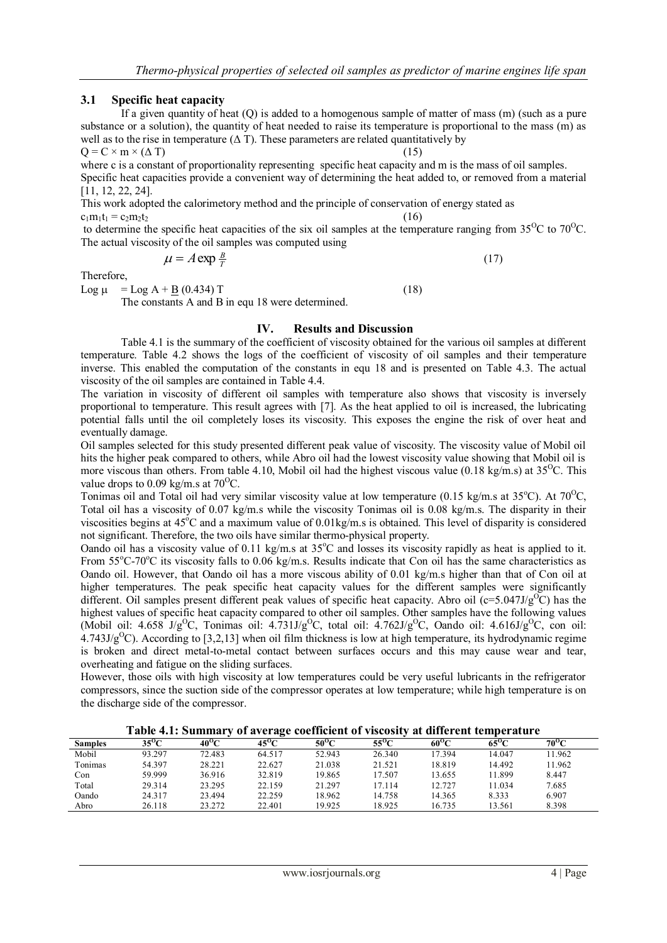# **3.1 Specific heat capacity**

If a given quantity of heat (Q) is added to a homogenous sample of matter of mass (m) (such as a pure substance or a solution), the quantity of heat needed to raise its temperature is proportional to the mass (m) as well as to the rise in temperature  $(Δ T)$ . These parameters are related quantitatively by

 $Q = C \times m \times (\Delta T)$  (15) where c is a constant of proportionality representing specific heat capacity and m is the mass of oil samples. Specific heat capacities provide a convenient way of determining the heat added to, or removed from a material

[11, 12, 22, 24]. This work adopted the calorimetory method and the principle of conservation of energy stated as

 $c_1m_1t_1 = c_2m_2t_2$  (16)

to determine the specific heat capacities of the six oil samples at the temperature ranging from  $35^{\circ}$ C to  $70^{\circ}$ C. The actual viscosity of the oil samples was computed using

$$
\mu = A \exp{\frac{B}{T}} \tag{17}
$$

Therefore,

Log  $\mu =$ Log  $A + B (0.434) T$  (18)

The constants A and B in equ 18 were determined.

## **IV. Results and Discussion**

Table 4.1 is the summary of the coefficient of viscosity obtained for the various oil samples at different temperature. Table 4.2 shows the logs of the coefficient of viscosity of oil samples and their temperature inverse. This enabled the computation of the constants in equ 18 and is presented on Table 4.3. The actual viscosity of the oil samples are contained in Table 4.4.

The variation in viscosity of different oil samples with temperature also shows that viscosity is inversely proportional to temperature. This result agrees with [7]. As the heat applied to oil is increased, the lubricating potential falls until the oil completely loses its viscosity. This exposes the engine the risk of over heat and eventually damage.

Oil samples selected for this study presented different peak value of viscosity. The viscosity value of Mobil oil hits the higher peak compared to others, while Abro oil had the lowest viscosity value showing that Mobil oil is more viscous than others. From table 4.10, Mobil oil had the highest viscous value (0.18 kg/m.s) at  $35^{\circ}$ C. This value drops to 0.09 kg/m.s at  $70^{\circ}$ C.

Tonimas oil and Total oil had very similar viscosity value at low temperature (0.15 kg/m.s at 35 $^{\circ}$ C). At 70 $^{\circ}$ C, Total oil has a viscosity of 0.07 kg/m.s while the viscosity Tonimas oil is 0.08 kg/m.s. The disparity in their viscosities begins at  $45^{\circ}$ C and a maximum value of 0.01kg/m.s is obtained. This level of disparity is considered not significant. Therefore, the two oils have similar thermo-physical property.

Oando oil has a viscosity value of 0.11 kg/m.s at  $35^{\circ}$ C and losses its viscosity rapidly as heat is applied to it. From  $55^{\circ}$ C-70 $^{\circ}$ C its viscosity falls to 0.06 kg/m.s. Results indicate that Con oil has the same characteristics as Oando oil. However, that Oando oil has a more viscous ability of 0.01 kg/m.s higher than that of Con oil at higher temperatures. The peak specific heat capacity values for the different samples were significantly different. Oil samples present different peak values of specific heat capacity. Abro oil ( $c=5.047J/g^{\circ}C$ ) has the highest values of specific heat capacity compared to other oil samples. Other samples have the following values (Mobil oil: 4.658 J/g<sup>o</sup>C, Tonimas oil: 4.731J/g<sup>o</sup>C, total oil: 4.762J/g<sup>o</sup>C, Oando oil: 4.616J/g<sup>o</sup>C, con oil:  $4.743J/g<sup>o</sup>C$ ). According to [3,2,13] when oil film thickness is low at high temperature, its hydrodynamic regime is broken and direct metal-to-metal contact between surfaces occurs and this may cause wear and tear, overheating and fatigue on the sliding surfaces.

However, those oils with high viscosity at low temperatures could be very useful lubricants in the refrigerator compressors, since the suction side of the compressor operates at low temperature; while high temperature is on the discharge side of the compressor.

**Table 4.1: Summary of average coefficient of viscosity at different temperature**

| <b>Samples</b> | 35 <sup>0</sup> C | 40°C   | o<br>$45^{\circ}$ C | 50°C   | $55^{\circ}$ C | $60^{\rm o}$ C | $65^{\circ}C$ | $70^{\rm o}$ C |
|----------------|-------------------|--------|---------------------|--------|----------------|----------------|---------------|----------------|
| Mobil          | 93.297            | 72.483 | 64.517              | 52.943 | 26.340         | 17.394         | 14.047        | 11.962         |
| Tonimas        | 54.397            | 28.221 | 22.627              | 21.038 | 21.521         | 18.819         | 14.492        | 11.962         |
| Con            | 59.999            | 36.916 | 32.819              | 19.865 | 17.507         | 13.655         | 1.899         | 8.447          |
| Total          | 29.314            | 23.295 | 22.159              | 21.297 | 17.114         | 12.727         | 1.034         | 7.685          |
| Oando          | 24.317            | 23.494 | 22.259              | 18.962 | 14.758         | 14.365         | 8.333         | 6.907          |
| Abro           | 26.118            | 23.272 | 22.401              | 19.925 | 18.925         | 16.735         | 13.561        | 8.398          |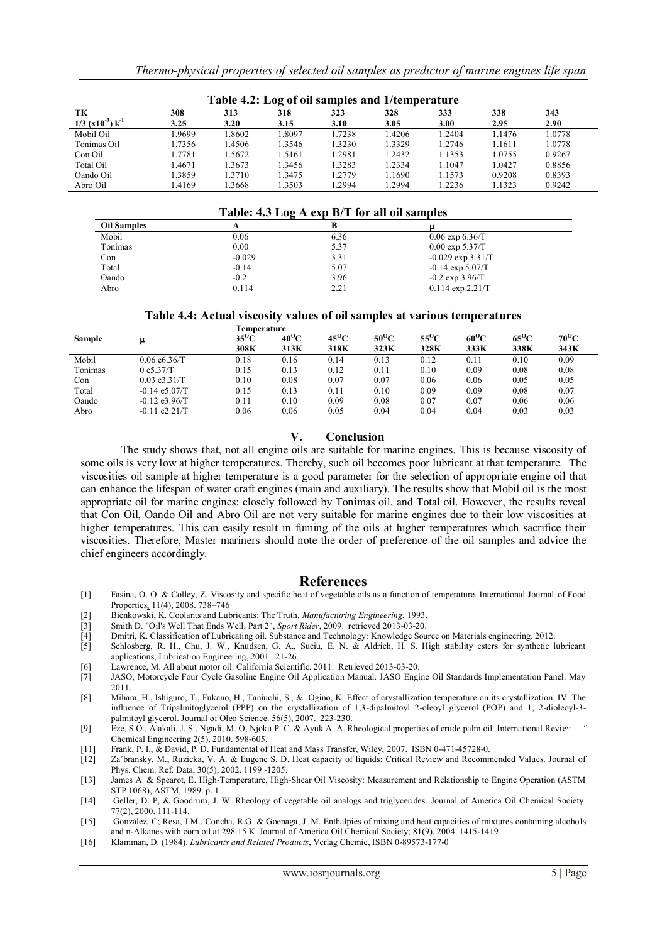| Table 4.2: Log of oil samples and 1/temperature  |             |             |             |             |             |             |             |             |
|--------------------------------------------------|-------------|-------------|-------------|-------------|-------------|-------------|-------------|-------------|
| TK<br>$1/3$ (x10 <sup>-3</sup> ) k <sup>-1</sup> | 308<br>3.25 | 313<br>3.20 | 318<br>3.15 | 323<br>3.10 | 328<br>3.05 | 333<br>3.00 | 338<br>2.95 | 343<br>2.90 |
| Mobil Oil                                        | .9699       | .8602       | 1.8097      | 1.7238      | 1.4206      | .2404       | 1.1476      | 1.0778      |
| Tonimas Oil                                      | 1.7356      | .4506       | 1.3546      | 1.3230      | 1.3329      | 1.2746      | 1.1611      | 1.0778      |
| Con Oil                                          | 1.7781      | .5672       | 1.5161      | 1.2981      | 1.2432      | 1.1353      | 1.0755      | 0.9267      |
| Total Oil                                        | 1.4671      | 1.3673      | 1.3456      | 1.3283      | 1.2334      | 1.1047      | 1.0427      | 0.8856      |
| Oando Oil                                        | 1.3859      | 1.3710      | 1.3475      | 1.2779      | 1.1690      | 1.1573      | 0.9208      | 0.8393      |
| Abro Oil                                         | 4169        | .3668       | 1.3503      | 1.2994      | 1.2994      | 1.2236      | 1.1323      | 0.9242      |

#### **Table 4.2: Log of oil samples and 1/temperature**

## **Table: 4.3 Log A exp B/T for all oil samples**

|                    | -        |      |                       |  |
|--------------------|----------|------|-----------------------|--|
| <b>Oil Samples</b> |          |      |                       |  |
| Mobil              | 0.06     | 6.36 | $0.06 \exp 6.36$ T    |  |
| Tonimas            | 0.00     | 5.37 | $0.00 \exp 5.37/T$    |  |
| Con                | $-0.029$ | 3.31 | $-0.029$ exp $3.31/T$ |  |
| Total              | $-0.14$  | 5.07 | $-0.14 \exp 5.07/T$   |  |
| Oando              | $-0.2$   | 3.96 | $-0.2 \exp 3.96/T$    |  |
| Abro               | 0.114    | 2.21 | $0.114$ exp $2.21/T$  |  |

## **Table 4.4: Actual viscosity values of oil samples at various temperatures**

|         |                 | Temperature    |                |                |                |                |                |                |               |
|---------|-----------------|----------------|----------------|----------------|----------------|----------------|----------------|----------------|---------------|
| Sample  |                 | $35^{\rm o}$ C | $40^{\rm o}$ C | $45^{\circ}$ C | $50^{\circ}$ C | $55^{\circ}$ C | $60^{\rm o}$ C | $65^{\rm o}$ C | $70^{\rm O}C$ |
|         |                 | 308K           | 313K           | 318K           | 323K           | 328K           | 333K           | 338K           | 343K          |
| Mobil   | 0.06 e6.36/T    | 0.18           | 0.16           | 0.14           | 0.13           | 0.12           | 0.11           | 0.10           | 0.09          |
| Tonimas | 0e5.37/T        | 0.15           | 0.13           | 0.12           | 0.11           | 0.10           | 0.09           | 0.08           | 0.08          |
| Con     | $0.03$ e3.31/T  | 0.10           | 0.08           | 0.07           | 0.07           | 0.06           | 0.06           | 0.05           | 0.05          |
| Total   | $-0.14$ e5.07/T | 0.15           | 0.13           | 0.11           | 0.10           | 0.09           | 0.09           | 0.08           | 0.07          |
| Oando   | $-0.12$ e3.96/T | 0.11           | 0.10           | 0.09           | 0.08           | 0.07           | 0.07           | 0.06           | 0.06          |
| Abro    | $-0.11$ e2.21/T | 0.06           | 0.06           | 0.05           | 0.04           | 0.04           | 0.04           | 0.03           | 0.03          |

## **V. Conclusion**

The study shows that, not all engine oils are suitable for marine engines. This is because viscosity of some oils is very low at higher temperatures. Thereby, such oil becomes poor lubricant at that temperature. The viscosities oil sample at higher temperature is a good parameter for the selection of appropriate engine oil that can enhance the lifespan of water craft engines (main and auxiliary). The results show that Mobil oil is the most appropriate oil for marine engines; closely followed by Tonimas oil, and Total oil. However, the results reveal that Con Oil, Oando Oil and Abro Oil are not very suitable for marine engines due to their low viscosities at higher temperatures. This can easily result in fuming of the oils at higher temperatures which sacrifice their viscosities. Therefore, Master mariners should note the order of preference of the oil samples and advice the chief engineers accordingly.

# **References**

- [1] Fasina, O. O. & Colley, Z. Viscosity and specific heat of vegetable oils as a function of temperature. International Journal of Food Properties, 11(4), 2008. 738–746
- [2] Bienkowski, K. Coolants and Lubricants: The Truth. *Manufacturing Engineering.* 1993.
- [3] Smith D. "Oil's Well That Ends Well, Part 2", *Sport Rider*, 2009. retrieved 2013-03-20.
- [4] Dmitri, K. Classification of Lubricating oil. Substance and Technology: Knowledge Source on Materials engineering. 2012.
- [5] Schlosberg, R. H., Chu, J. W., Knudsen, G. A., Suciu, E. N. & Aldrich, H. S. High stability esters for synthetic lubricant applications, Lubrication Engineering, 2001. 21-26.
- [6] Lawrence, M. All about motor oil. California Scientific. 2011. Retrieved 2013-03-20.
- JASO, Motorcycle Four Cycle Gasoline Engine Oil Application Manual. JASO Engine Oil Standards Implementation Panel. May 2011.
- [8] Mihara, H., Ishiguro, T., Fukano, H., Taniuchi, S., & Ogino, K. Effect of crystallization temperature on its crystallization. IV. The influence of Tripalmitoglycerol (PPP) on the crystallization of 1,3-dipalmitoyl 2-oleoyl glycerol (POP) and 1, 2-dioleoyl-3 palmitoyl glycerol. Journal of Oleo Science. 56(5), 2007. 223-230.
- [9] Eze, S.O., Alakali, J. S., Ngadi, M. O, Njoku P. C. & Ayuk A. A. Rheological properties of crude palm oil. International Review Chemical Engineering 2(5), 2010. 598-605.
- [11] Frank, P. I., & David, P. D. Fundamental of Heat and Mass Transfer, Wiley, 2007. ISBN 0-471-45728-0.
- [12] Za´bransky, M., Ruzicka, V. A. & Eugene S. D. Heat capacity of liquids: Critical Review and Recommended Values. Journal of Phys. Chem. Ref. Data, 30(5), 2002. 1199 -1205.
- [13] James A. & Spearot, E. High-Temperature, High-Shear Oil Viscosity: Measurement and Relationship to Engine Operation (ASTM STP 1068), ASTM, 1989. p. 1
- [14] Geller, D. P, & Goodrum, J. W. Rheology of vegetable oil analogs and triglycerides. Journal of America Oil Chemical Society. 77(2), 2000. 111-114.
- [15] González, C; Resa, J.M., Concha, R.G. & Goenaga, J. M. Enthalpies of mixing and heat capacities of mixtures containing alcohols and n-Alkanes with corn oil at 298.15 K. Journal of America Oil Chemical Society; 81(9), 2004. 1415-1419
- [16] Klamman, D. (1984). *Lubricants and Related Products*, Verlag Chemie, ISBN 0-89573-177-0